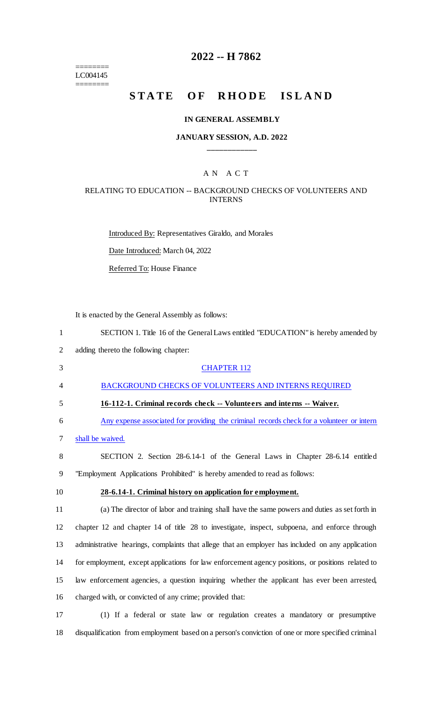======== LC004145 ========

# **2022 -- H 7862**

# **STATE OF RHODE ISLAND**

#### **IN GENERAL ASSEMBLY**

### **JANUARY SESSION, A.D. 2022 \_\_\_\_\_\_\_\_\_\_\_\_**

## A N A C T

#### RELATING TO EDUCATION -- BACKGROUND CHECKS OF VOLUNTEERS AND INTERNS

Introduced By: Representatives Giraldo, and Morales Date Introduced: March 04, 2022 Referred To: House Finance

It is enacted by the General Assembly as follows:

| $\mathbf{1}$   | SECTION 1. Title 16 of the General Laws entitled "EDUCATION" is hereby amended by                 |
|----------------|---------------------------------------------------------------------------------------------------|
| $\overline{2}$ | adding thereto the following chapter:                                                             |
| 3              | <b>CHAPTER 112</b>                                                                                |
| 4              | BACKGROUND CHECKS OF VOLUNTEERS AND INTERNS REQUIRED                                              |
| 5              | 16-112-1. Criminal records check -- Volunteers and interns -- Waiver.                             |
| 6              | Any expense associated for providing the criminal records check for a volunteer or intern         |
| 7              | shall be waived.                                                                                  |
| 8              | SECTION 2. Section 28-6.14-1 of the General Laws in Chapter 28-6.14 entitled                      |
| 9              | "Employment Applications Prohibited" is hereby amended to read as follows:                        |
| 10             | 28-6.14-1. Criminal history on application for employment.                                        |
| 11             | (a) The director of labor and training shall have the same powers and duties as set forth in      |
| 12             | chapter 12 and chapter 14 of title 28 to investigate, inspect, subpoena, and enforce through      |
| 13             | administrative hearings, complaints that allege that an employer has included on any application  |
| 14             | for employment, except applications for law enforcement agency positions, or positions related to |
| 15             | law enforcement agencies, a question inquiring whether the applicant has ever been arrested,      |
| 16             | charged with, or convicted of any crime; provided that:                                           |
|                |                                                                                                   |

17 (1) If a federal or state law or regulation creates a mandatory or presumptive 18 disqualification from employment based on a person's conviction of one or more specified criminal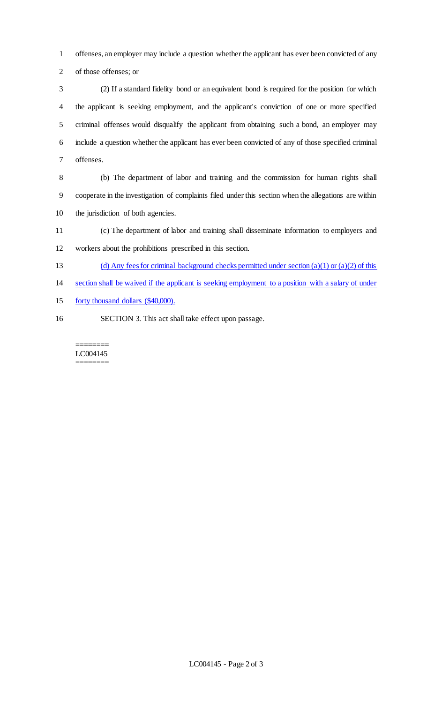offenses, an employer may include a question whether the applicant has ever been convicted of any of those offenses; or

 (2) If a standard fidelity bond or an equivalent bond is required for the position for which the applicant is seeking employment, and the applicant's conviction of one or more specified criminal offenses would disqualify the applicant from obtaining such a bond, an employer may include a question whether the applicant has ever been convicted of any of those specified criminal offenses.

 (b) The department of labor and training and the commission for human rights shall cooperate in the investigation of complaints filed under this section when the allegations are within the jurisdiction of both agencies.

(c) The department of labor and training shall disseminate information to employers and

workers about the prohibitions prescribed in this section.

- 13 (d) Any fees for criminal background checks permitted under section (a)(1) or (a)(2) of this
- section shall be waived if the applicant is seeking employment to a position with a salary of under
- forty thousand dollars (\$40,000).
- SECTION 3. This act shall take effect upon passage.

======== LC004145 ========